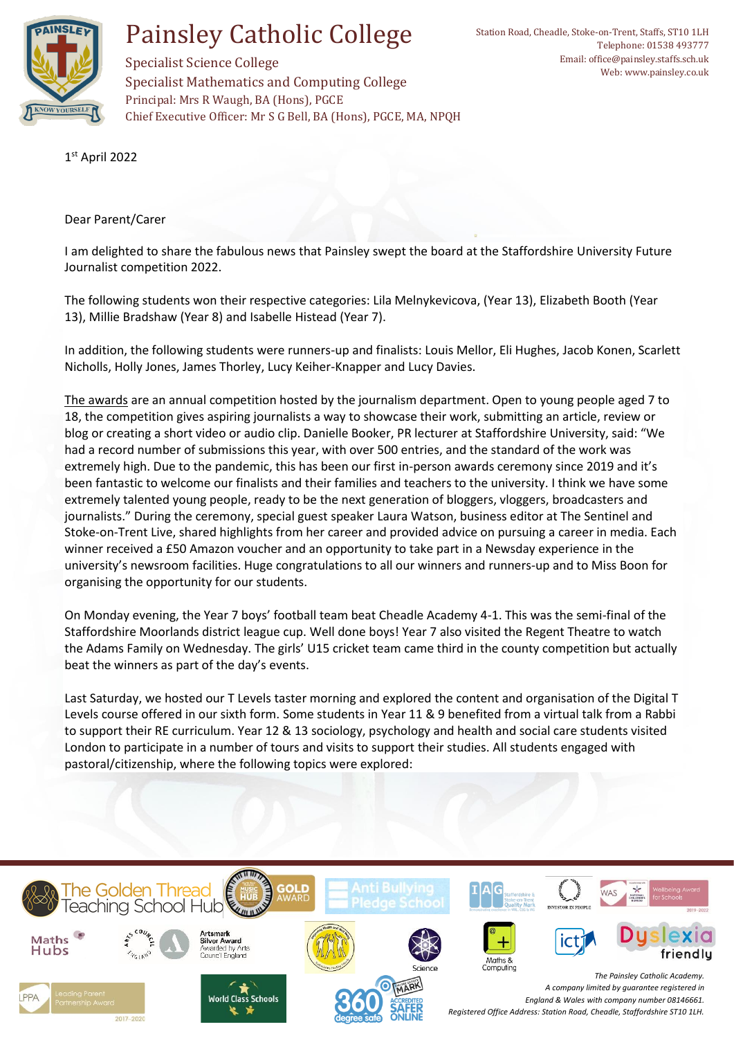

## Painsley Catholic College

Specialist Mathematics and Computing College

Chief Executive Officer: Mr S G Bell, BA (Hons), PGCE, MA, NPQH

Principal: Mrs R Waugh, BA (Hons), PGCE

Specialist Science College

1 st April 2022

Dear Parent/Carer

I am delighted to share the fabulous news that Painsley swept the board at the Staffordshire University Future Journalist competition 2022.

The following students won their respective categories: Lila Melnykevicova, (Year 13), Elizabeth Booth (Year 13), Millie Bradshaw (Year 8) and Isabelle Histead (Year 7).

In addition, the following students were runners-up and finalists: Louis Mellor, Eli Hughes, Jacob Konen, Scarlett Nicholls, Holly Jones, James Thorley, Lucy Keiher-Knapper and Lucy Davies.

[The awards](https://blogs.staffs.ac.uk/futurejournalist/) are an annual competition hosted by the journalism department. Open to young people aged 7 to 18, the competition gives aspiring journalists a way to showcase their work, submitting an article, review or blog or creating a short video or audio clip. Danielle Booker, PR lecturer at Staffordshire University, said: "We had a record number of submissions this year, with over 500 entries, and the standard of the work was extremely high. Due to the pandemic, this has been our first in-person awards ceremony since 2019 and it's been fantastic to welcome our finalists and their families and teachers to the university. I think we have some extremely talented young people, ready to be the next generation of bloggers, vloggers, broadcasters and journalists." During the ceremony, special guest speaker Laura Watson, business editor at The Sentinel and Stoke-on-Trent Live, shared highlights from her career and provided advice on pursuing a career in media. Each winner received a £50 Amazon voucher and an opportunity to take part in a Newsday experience in the university's newsroom facilities. Huge congratulations to all our winners and runners-up and to Miss Boon for organising the opportunity for our students.

On Monday evening, the Year 7 boys' football team beat Cheadle Academy 4-1. This was the semi-final of the Staffordshire Moorlands district league cup. Well done boys! Year 7 also visited the Regent Theatre to watch the Adams Family on Wednesday. The girls' U15 cricket team came third in the county competition but actually beat the winners as part of the day's events.

Last Saturday, we hosted our T Levels taster morning and explored the content and organisation of the Digital T Levels course offered in our sixth form. Some students in Year 11 & 9 benefited from a virtual talk from a Rabbi to support their RE curriculum. Year 12 & 13 sociology, psychology and health and social care students visited London to participate in a number of tours and visits to support their studies. All students engaged with pastoral/citizenship, where the following topics were explored: